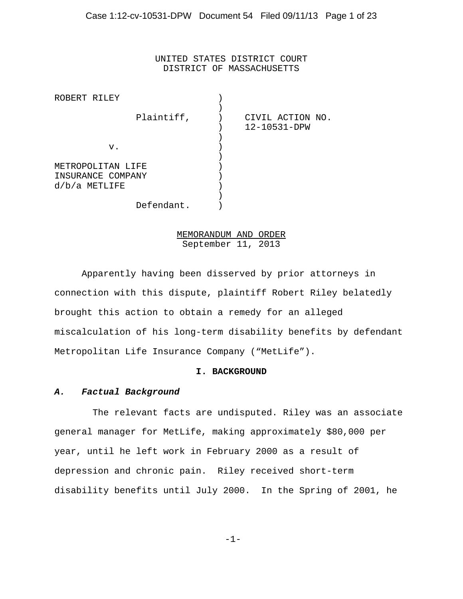UNITED STATES DISTRICT COURT DISTRICT OF MASSACHUSETTS

| ROBERT RILEY      |            |                  |
|-------------------|------------|------------------|
|                   | Plaintiff, | CIVIL ACTION NO. |
|                   |            | 12-10531-DPW     |
|                   |            |                  |
| v.                |            |                  |
|                   |            |                  |
| METROPOLITAN LIFE |            |                  |
| INSURANCE COMPANY |            |                  |
| $d/b/a$ METLIFE   |            |                  |
|                   |            |                  |
| Defendant.        |            |                  |

# MEMORANDUM AND ORDER September 11, 2013

Apparently having been disserved by prior attorneys in connection with this dispute, plaintiff Robert Riley belatedly brought this action to obtain a remedy for an alleged miscalculation of his long-term disability benefits by defendant Metropolitan Life Insurance Company ("MetLife").

#### **I. BACKGROUND**

# *A. Factual Background*

 The relevant facts are undisputed. Riley was an associate general manager for MetLife, making approximately \$80,000 per year, until he left work in February 2000 as a result of depression and chronic pain. Riley received short-term disability benefits until July 2000. In the Spring of 2001, he

-1-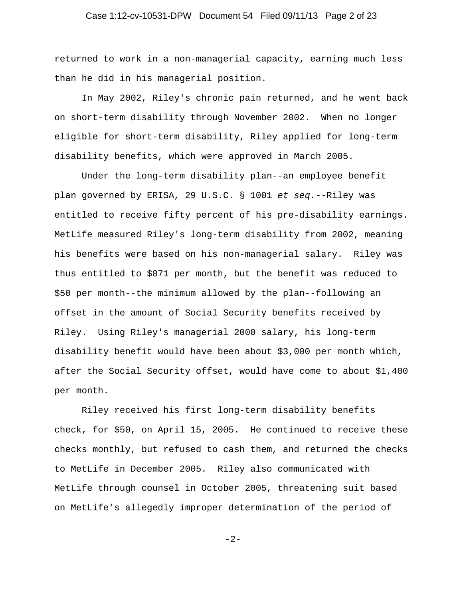## Case 1:12-cv-10531-DPW Document 54 Filed 09/11/13 Page 2 of 23

returned to work in a non-managerial capacity, earning much less than he did in his managerial position.

In May 2002, Riley's chronic pain returned, and he went back on short-term disability through November 2002. When no longer eligible for short-term disability, Riley applied for long-term disability benefits, which were approved in March 2005.

Under the long-term disability plan--an employee benefit plan governed by ERISA, 29 U.S.C. § 1001 *et seq.*--Riley was entitled to receive fifty percent of his pre-disability earnings. MetLife measured Riley's long-term disability from 2002, meaning his benefits were based on his non-managerial salary. Riley was thus entitled to \$871 per month, but the benefit was reduced to \$50 per month--the minimum allowed by the plan--following an offset in the amount of Social Security benefits received by Riley. Using Riley's managerial 2000 salary, his long-term disability benefit would have been about \$3,000 per month which, after the Social Security offset, would have come to about \$1,400 per month.

Riley received his first long-term disability benefits check, for \$50, on April 15, 2005. He continued to receive these checks monthly, but refused to cash them, and returned the checks to MetLife in December 2005. Riley also communicated with MetLife through counsel in October 2005, threatening suit based on MetLife's allegedly improper determination of the period of

-2-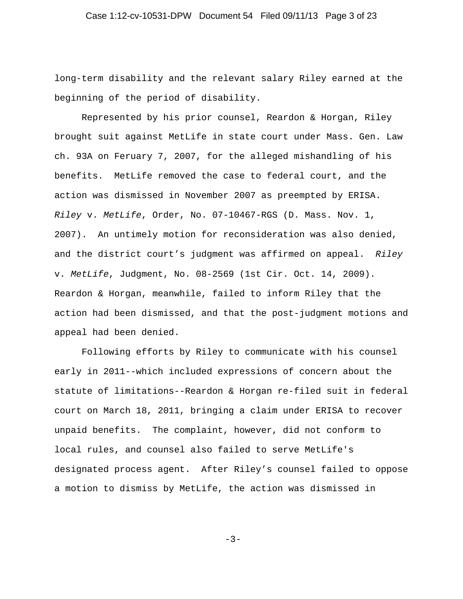long-term disability and the relevant salary Riley earned at the beginning of the period of disability.

Represented by his prior counsel, Reardon & Horgan, Riley brought suit against MetLife in state court under Mass. Gen. Law ch. 93A on Feruary 7, 2007, for the alleged mishandling of his benefits. MetLife removed the case to federal court, and the action was dismissed in November 2007 as preempted by ERISA. *Riley* v. *MetLife*, Order, No. 07-10467-RGS (D. Mass. Nov. 1, 2007). An untimely motion for reconsideration was also denied, and the district court's judgment was affirmed on appeal. *Riley* v. *MetLife*, Judgment, No. 08-2569 (1st Cir. Oct. 14, 2009). Reardon & Horgan, meanwhile, failed to inform Riley that the action had been dismissed, and that the post-judgment motions and appeal had been denied.

Following efforts by Riley to communicate with his counsel early in 2011--which included expressions of concern about the statute of limitations--Reardon & Horgan re-filed suit in federal court on March 18, 2011, bringing a claim under ERISA to recover unpaid benefits. The complaint, however, did not conform to local rules, and counsel also failed to serve MetLife's designated process agent. After Riley's counsel failed to oppose a motion to dismiss by MetLife, the action was dismissed in

 $-3-$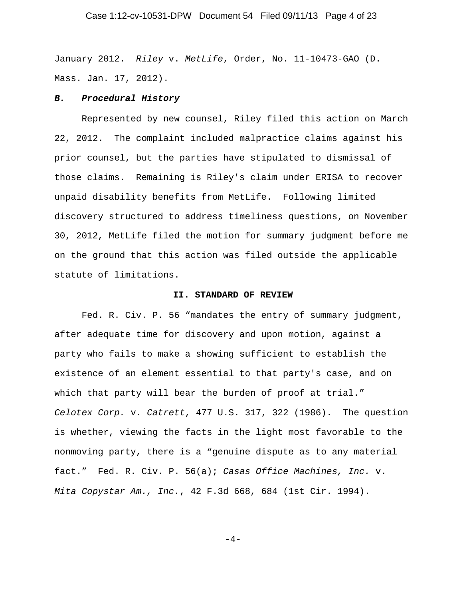## Case 1:12-cv-10531-DPW Document 54 Filed 09/11/13 Page 4 of 23

January 2012. *Riley* v. *MetLife*, Order, No. 11-10473-GAO (D. Mass. Jan. 17, 2012).

#### *B. Procedural History*

Represented by new counsel, Riley filed this action on March 22, 2012. The complaint included malpractice claims against his prior counsel, but the parties have stipulated to dismissal of those claims. Remaining is Riley's claim under ERISA to recover unpaid disability benefits from MetLife. Following limited discovery structured to address timeliness questions, on November 30, 2012, MetLife filed the motion for summary judgment before me on the ground that this action was filed outside the applicable statute of limitations.

#### **II. STANDARD OF REVIEW**

Fed. R. Civ. P. 56 "mandates the entry of summary judgment, after adequate time for discovery and upon motion, against a party who fails to make a showing sufficient to establish the existence of an element essential to that party's case, and on which that party will bear the burden of proof at trial." *Celotex Corp.* v. *Catrett*, 477 U.S. 317, 322 (1986). The question is whether, viewing the facts in the light most favorable to the nonmoving party, there is a "genuine dispute as to any material fact." Fed. R. Civ. P. 56(a); *Casas Office Machines, Inc.* v. *Mita Copystar Am., Inc.*, 42 F.3d 668, 684 (1st Cir. 1994).

 $-4-$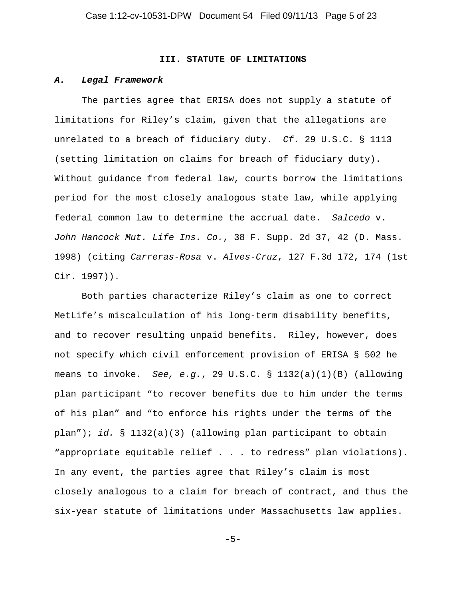#### **III. STATUTE OF LIMITATIONS**

#### *A. Legal Framework*

The parties agree that ERISA does not supply a statute of limitations for Riley's claim, given that the allegations are unrelated to a breach of fiduciary duty. *Cf.* 29 U.S.C. § 1113 (setting limitation on claims for breach of fiduciary duty). Without guidance from federal law, courts borrow the limitations period for the most closely analogous state law, while applying federal common law to determine the accrual date. *Salcedo* v. *John Hancock Mut. Life Ins. Co.*, 38 F. Supp. 2d 37, 42 (D. Mass. 1998) (citing *Carreras-Rosa* v. *Alves-Cruz*, 127 F.3d 172, 174 (1st Cir. 1997)).

Both parties characterize Riley's claim as one to correct MetLife's miscalculation of his long-term disability benefits, and to recover resulting unpaid benefits. Riley, however, does not specify which civil enforcement provision of ERISA § 502 he means to invoke. *See, e.g.*, 29 U.S.C. § 1132(a)(1)(B) (allowing plan participant "to recover benefits due to him under the terms of his plan" and "to enforce his rights under the terms of the plan"); *id.* § 1132(a)(3) (allowing plan participant to obtain "appropriate equitable relief . . . to redress" plan violations). In any event, the parties agree that Riley's claim is most closely analogous to a claim for breach of contract, and thus the six-year statute of limitations under Massachusetts law applies.

-5-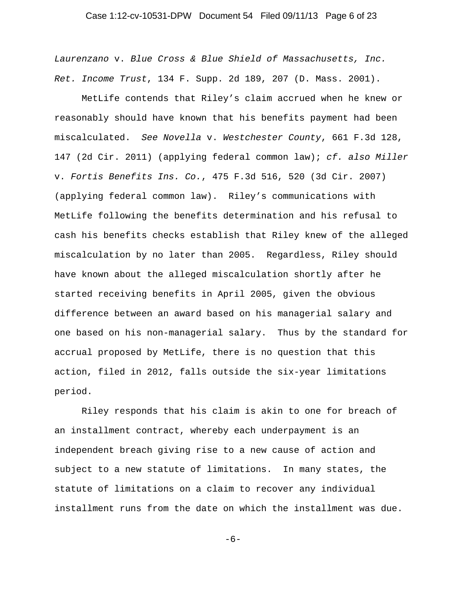## Case 1:12-cv-10531-DPW Document 54 Filed 09/11/13 Page 6 of 23

*Laurenzano* v. *Blue Cross & Blue Shield of Massachusetts, Inc. Ret. Income Trust*, 134 F. Supp. 2d 189, 207 (D. Mass. 2001).

MetLife contends that Riley's claim accrued when he knew or reasonably should have known that his benefits payment had been miscalculated. *See Novella* v. *Westchester County*, 661 F.3d 128, 147 (2d Cir. 2011) (applying federal common law); *cf. also Miller* v. *Fortis Benefits Ins. Co.*, 475 F.3d 516, 520 (3d Cir. 2007) (applying federal common law). Riley's communications with MetLife following the benefits determination and his refusal to cash his benefits checks establish that Riley knew of the alleged miscalculation by no later than 2005. Regardless, Riley should have known about the alleged miscalculation shortly after he started receiving benefits in April 2005, given the obvious difference between an award based on his managerial salary and one based on his non-managerial salary. Thus by the standard for accrual proposed by MetLife, there is no question that this action, filed in 2012, falls outside the six-year limitations period.

Riley responds that his claim is akin to one for breach of an installment contract, whereby each underpayment is an independent breach giving rise to a new cause of action and subject to a new statute of limitations. In many states, the statute of limitations on a claim to recover any individual installment runs from the date on which the installment was due.

-6-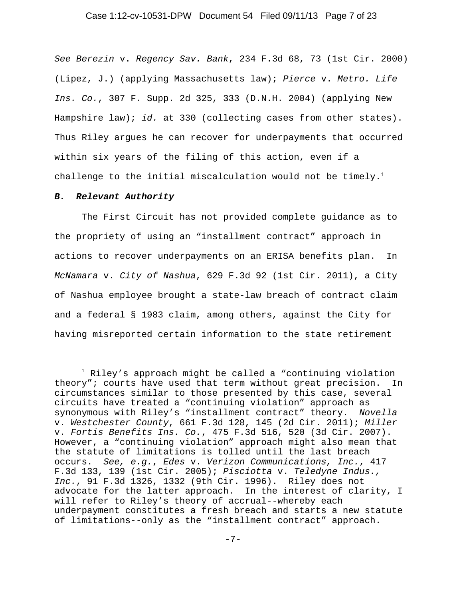#### Case 1:12-cv-10531-DPW Document 54 Filed 09/11/13 Page 7 of 23

*See Berezin* v. *Regency Sav. Bank*, 234 F.3d 68, 73 (1st Cir. 2000) (Lipez, J.) (applying Massachusetts law); *Pierce* v. *Metro. Life Ins. Co.*, 307 F. Supp. 2d 325, 333 (D.N.H. 2004) (applying New Hampshire law); *id.* at 330 (collecting cases from other states). Thus Riley argues he can recover for underpayments that occurred within six years of the filing of this action, even if a challenge to the initial miscalculation would not be timely.<sup>1</sup>

#### *B. Relevant Authority*

The First Circuit has not provided complete guidance as to the propriety of using an "installment contract" approach in actions to recover underpayments on an ERISA benefits plan. In *McNamara* v. *City of Nashua*, 629 F.3d 92 (1st Cir. 2011), a City of Nashua employee brought a state-law breach of contract claim and a federal § 1983 claim, among others, against the City for having misreported certain information to the state retirement

 $^1$  Riley's approach might be called a "continuing violation theory"; courts have used that term without great precision. In circumstances similar to those presented by this case, several circuits have treated a "continuing violation" approach as synonymous with Riley's "installment contract" theory. *Novella* v. *Westchester County*, 661 F.3d 128, 145 (2d Cir. 2011); *Miller* v. *Fortis Benefits Ins. Co.*, 475 F.3d 516, 520 (3d Cir. 2007). However, a "continuing violation" approach might also mean that the statute of limitations is tolled until the last breach occurs. *See, e.g.*, *Edes* v. *Verizon Communications, Inc.*, 417 F.3d 133, 139 (1st Cir. 2005); *Pisciotta* v. *Teledyne Indus., Inc.*, 91 F.3d 1326, 1332 (9th Cir. 1996). Riley does not advocate for the latter approach. In the interest of clarity, I will refer to Riley's theory of accrual--whereby each underpayment constitutes a fresh breach and starts a new statute of limitations--only as the "installment contract" approach.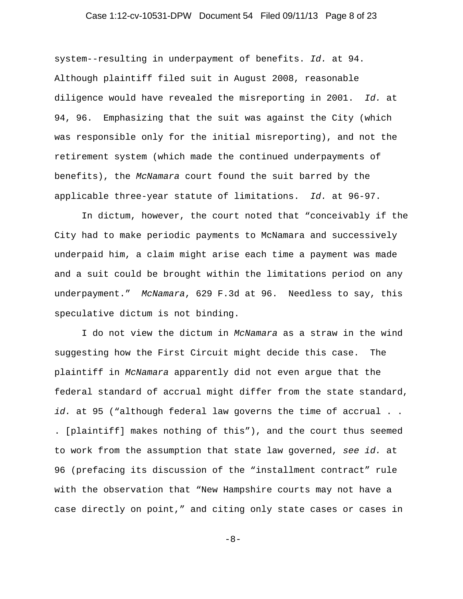## Case 1:12-cv-10531-DPW Document 54 Filed 09/11/13 Page 8 of 23

system--resulting in underpayment of benefits. *Id.* at 94. Although plaintiff filed suit in August 2008, reasonable diligence would have revealed the misreporting in 2001. *Id.* at 94, 96. Emphasizing that the suit was against the City (which was responsible only for the initial misreporting), and not the retirement system (which made the continued underpayments of benefits), the *McNamara* court found the suit barred by the applicable three-year statute of limitations. *Id.* at 96-97.

In dictum, however, the court noted that "conceivably if the City had to make periodic payments to McNamara and successively underpaid him, a claim might arise each time a payment was made and a suit could be brought within the limitations period on any underpayment." *McNamara*, 629 F.3d at 96. Needless to say, this speculative dictum is not binding.

I do not view the dictum in *McNamara* as a straw in the wind suggesting how the First Circuit might decide this case. The plaintiff in *McNamara* apparently did not even argue that the federal standard of accrual might differ from the state standard, *id.* at 95 ("although federal law governs the time of accrual . . . [plaintiff] makes nothing of this"), and the court thus seemed to work from the assumption that state law governed, *see id.* at 96 (prefacing its discussion of the "installment contract" rule with the observation that "New Hampshire courts may not have a case directly on point," and citing only state cases or cases in

-8-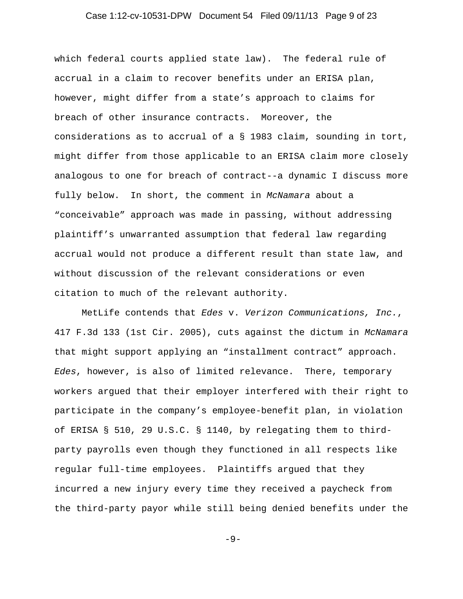## Case 1:12-cv-10531-DPW Document 54 Filed 09/11/13 Page 9 of 23

which federal courts applied state law). The federal rule of accrual in a claim to recover benefits under an ERISA plan, however, might differ from a state's approach to claims for breach of other insurance contracts. Moreover, the considerations as to accrual of a § 1983 claim, sounding in tort, might differ from those applicable to an ERISA claim more closely analogous to one for breach of contract--a dynamic I discuss more fully below. In short, the comment in *McNamara* about a "conceivable" approach was made in passing, without addressing plaintiff's unwarranted assumption that federal law regarding accrual would not produce a different result than state law, and without discussion of the relevant considerations or even citation to much of the relevant authority.

MetLife contends that *Edes* v. *Verizon Communications, Inc.*, 417 F.3d 133 (1st Cir. 2005), cuts against the dictum in *McNamara* that might support applying an "installment contract" approach. *Edes*, however, is also of limited relevance. There, temporary workers argued that their employer interfered with their right to participate in the company's employee-benefit plan, in violation of ERISA § 510, 29 U.S.C. § 1140, by relegating them to thirdparty payrolls even though they functioned in all respects like regular full-time employees. Plaintiffs argued that they incurred a new injury every time they received a paycheck from the third-party payor while still being denied benefits under the

-9-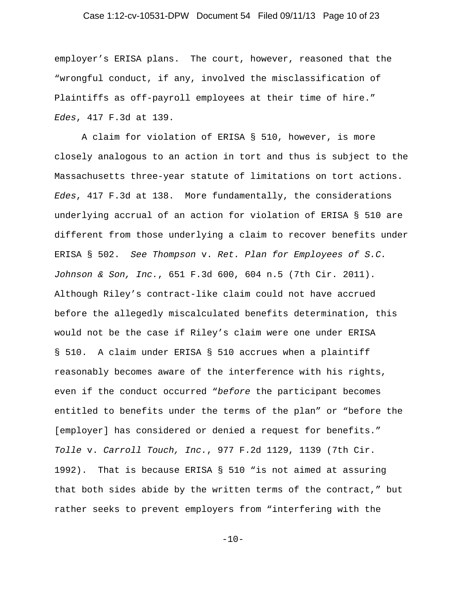## Case 1:12-cv-10531-DPW Document 54 Filed 09/11/13 Page 10 of 23

employer's ERISA plans. The court, however, reasoned that the "wrongful conduct, if any, involved the misclassification of Plaintiffs as off-payroll employees at their time of hire." *Edes*, 417 F.3d at 139.

A claim for violation of ERISA § 510, however, is more closely analogous to an action in tort and thus is subject to the Massachusetts three-year statute of limitations on tort actions. *Edes*, 417 F.3d at 138. More fundamentally, the considerations underlying accrual of an action for violation of ERISA § 510 are different from those underlying a claim to recover benefits under ERISA § 502. *See Thompson* v. *Ret. Plan for Employees of S.C. Johnson & Son, Inc.*, 651 F.3d 600, 604 n.5 (7th Cir. 2011). Although Riley's contract-like claim could not have accrued before the allegedly miscalculated benefits determination, this would not be the case if Riley's claim were one under ERISA § 510. A claim under ERISA § 510 accrues when a plaintiff reasonably becomes aware of the interference with his rights, even if the conduct occurred "*before* the participant becomes entitled to benefits under the terms of the plan" or "before the [employer] has considered or denied a request for benefits." *Tolle* v. *Carroll Touch, Inc.*, 977 F.2d 1129, 1139 (7th Cir. 1992).That is because ERISA § 510 "is not aimed at assuring that both sides abide by the written terms of the contract," but rather seeks to prevent employers from "interfering with the

 $-10-$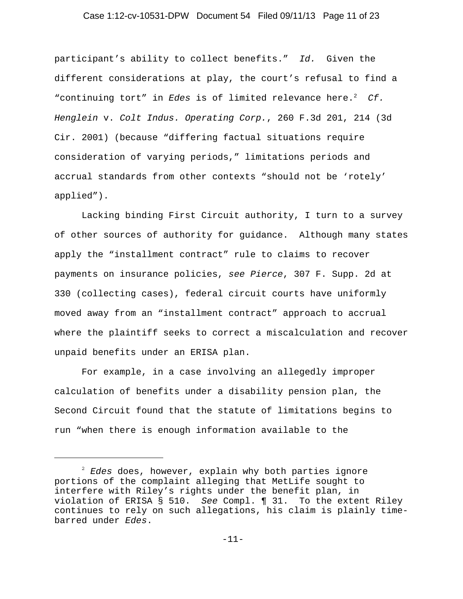## Case 1:12-cv-10531-DPW Document 54 Filed 09/11/13 Page 11 of 23

participant's ability to collect benefits." *Id.* Given the different considerations at play, the court's refusal to find a "continuing tort" in *Edes* is of limited relevance here.<sup>2</sup> Cf. *Henglein* v. *Colt Indus. Operating Corp.*, 260 F.3d 201, 214 (3d Cir. 2001) (because "differing factual situations require consideration of varying periods," limitations periods and accrual standards from other contexts "should not be 'rotely' applied").

Lacking binding First Circuit authority, I turn to a survey of other sources of authority for guidance. Although many states apply the "installment contract" rule to claims to recover payments on insurance policies, *see Pierce*, 307 F. Supp. 2d at 330 (collecting cases), federal circuit courts have uniformly moved away from an "installment contract" approach to accrual where the plaintiff seeks to correct a miscalculation and recover unpaid benefits under an ERISA plan.

For example, in a case involving an allegedly improper calculation of benefits under a disability pension plan, the Second Circuit found that the statute of limitations begins to run "when there is enough information available to the

<sup>2</sup> *Edes* does, however, explain why both parties ignore portions of the complaint alleging that MetLife sought to interfere with Riley's rights under the benefit plan, in violation of ERISA § 510. *See* Compl. ¶ 31. To the extent Riley continues to rely on such allegations, his claim is plainly timebarred under *Edes*.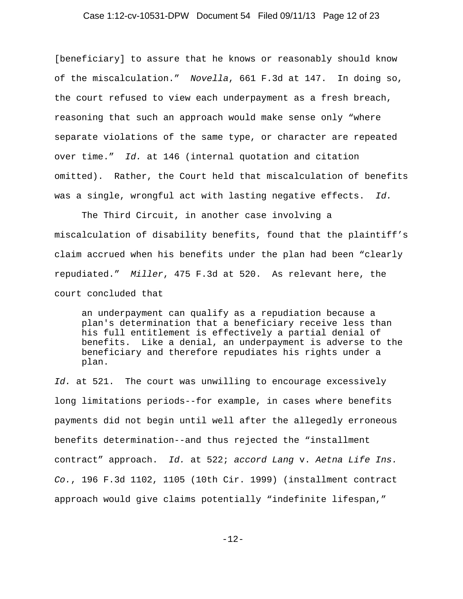## Case 1:12-cv-10531-DPW Document 54 Filed 09/11/13 Page 12 of 23

[beneficiary] to assure that he knows or reasonably should know of the miscalculation." *Novella*, 661 F.3d at 147. In doing so, the court refused to view each underpayment as a fresh breach, reasoning that such an approach would make sense only "where separate violations of the same type, or character are repeated over time." *Id.* at 146 (internal quotation and citation omitted). Rather, the Court held that miscalculation of benefits was a single, wrongful act with lasting negative effects. *Id.*

The Third Circuit, in another case involving a miscalculation of disability benefits, found that the plaintiff's claim accrued when his benefits under the plan had been "clearly repudiated." *Miller*, 475 F.3d at 520. As relevant here, the court concluded that

an underpayment can qualify as a repudiation because a plan's determination that a beneficiary receive less than his full entitlement is effectively a partial denial of benefits. Like a denial, an underpayment is adverse to the beneficiary and therefore repudiates his rights under a plan.

*Id.* at 521. The court was unwilling to encourage excessively long limitations periods--for example, in cases where benefits payments did not begin until well after the allegedly erroneous benefits determination--and thus rejected the "installment contract" approach. *Id.* at 522; *accord Lang* v. *Aetna Life Ins. Co.*, 196 F.3d 1102, 1105 (10th Cir. 1999) (installment contract approach would give claims potentially "indefinite lifespan,"

-12-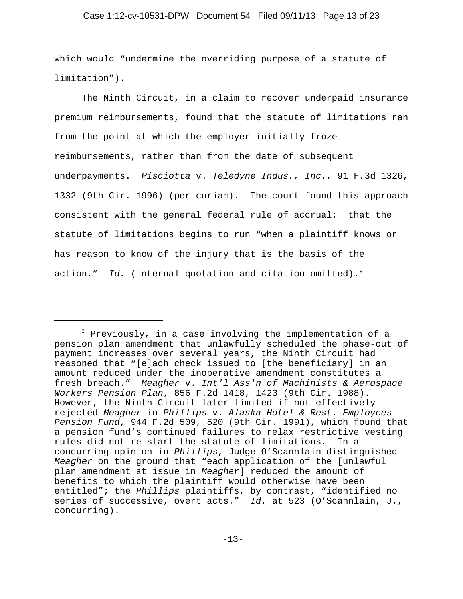## Case 1:12-cv-10531-DPW Document 54 Filed 09/11/13 Page 13 of 23

which would "undermine the overriding purpose of a statute of limitation").

The Ninth Circuit, in a claim to recover underpaid insurance premium reimbursements, found that the statute of limitations ran from the point at which the employer initially froze reimbursements, rather than from the date of subsequent underpayments. *Pisciotta* v. *Teledyne Indus., Inc.*, 91 F.3d 1326, 1332 (9th Cir. 1996) (per curiam). The court found this approach consistent with the general federal rule of accrual: that the statute of limitations begins to run "when a plaintiff knows or has reason to know of the injury that is the basis of the action." Id. (internal quotation and citation omitted).<sup>3</sup>

<sup>&</sup>lt;sup>3</sup> Previously, in a case involving the implementation of a pension plan amendment that unlawfully scheduled the phase-out of payment increases over several years, the Ninth Circuit had reasoned that "[e]ach check issued to [the beneficiary] in an amount reduced under the inoperative amendment constitutes a fresh breach." *Meagher* v. *Int'l Ass'n of Machinists & Aerospace Workers Pension Plan*, 856 F.2d 1418, 1423 (9th Cir. 1988). However, the Ninth Circuit later limited if not effectively rejected *Meagher* in *Phillips* v. *Alaska Hotel & Rest. Employees Pension Fund*, 944 F.2d 509, 520 (9th Cir. 1991), which found that a pension fund's continued failures to relax restrictive vesting rules did not re-start the statute of limitations. In a concurring opinion in *Phillips*, Judge O'Scannlain distinguished *Meagher* on the ground that "each application of the [unlawful plan amendment at issue in *Meagher*] reduced the amount of benefits to which the plaintiff would otherwise have been entitled"; the *Phillips* plaintiffs, by contrast, "identified no series of successive, overt acts." *Id.* at 523 (O'Scannlain, J., concurring).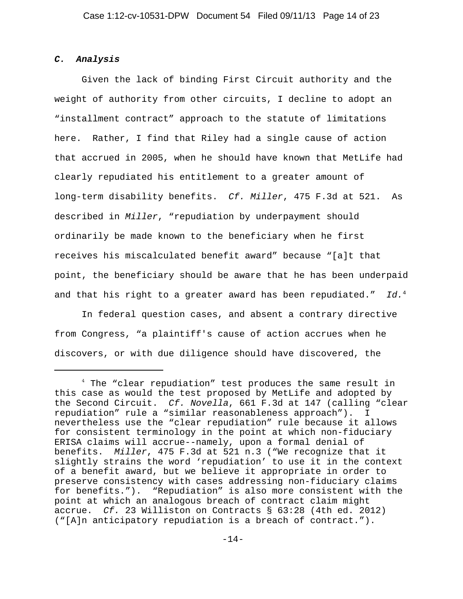## *C. Analysis*

Given the lack of binding First Circuit authority and the weight of authority from other circuits, I decline to adopt an "installment contract" approach to the statute of limitations here. Rather, I find that Riley had a single cause of action that accrued in 2005, when he should have known that MetLife had clearly repudiated his entitlement to a greater amount of long-term disability benefits. *Cf. Miller*, 475 F.3d at 521. As described in *Miller*, "repudiation by underpayment should ordinarily be made known to the beneficiary when he first receives his miscalculated benefit award" because "[a]t that point, the beneficiary should be aware that he has been underpaid and that his right to a greater award has been repudiated." *Id.*<sup>4</sup>

In federal question cases, and absent a contrary directive from Congress, "a plaintiff's cause of action accrues when he discovers, or with due diligence should have discovered, the

<sup>&</sup>lt;sup>4</sup> The "clear repudiation" test produces the same result in this case as would the test proposed by MetLife and adopted by the Second Circuit. *Cf. Novella*, 661 F.3d at 147 (calling "clear repudiation" rule a "similar reasonableness approach"). I nevertheless use the "clear repudiation" rule because it allows for consistent terminology in the point at which non-fiduciary ERISA claims will accrue--namely, upon a formal denial of benefits. *Miller*, 475 F.3d at 521 n.3 ("We recognize that it slightly strains the word 'repudiation' to use it in the context of a benefit award, but we believe it appropriate in order to preserve consistency with cases addressing non-fiduciary claims for benefits."). "Repudiation" is also more consistent with the point at which an analogous breach of contract claim might accrue. *Cf.* 23 Williston on Contracts § 63:28 (4th ed. 2012) ("[A]n anticipatory repudiation is a breach of contract.").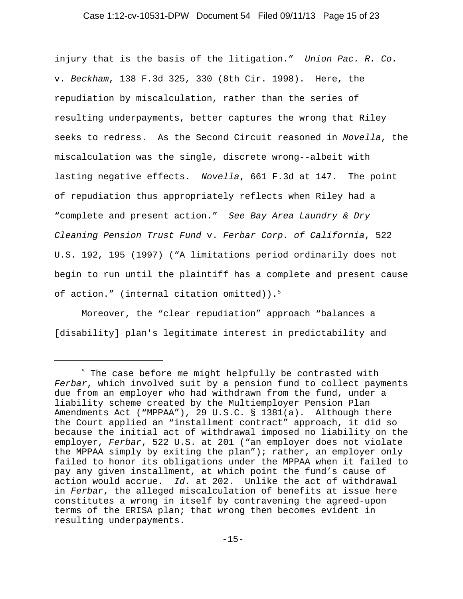## Case 1:12-cv-10531-DPW Document 54 Filed 09/11/13 Page 15 of 23

injury that is the basis of the litigation." *Union Pac. R. Co.* v. *Beckham*, 138 F.3d 325, 330 (8th Cir. 1998). Here, the repudiation by miscalculation, rather than the series of resulting underpayments, better captures the wrong that Riley seeks to redress. As the Second Circuit reasoned in *Novella*, the miscalculation was the single, discrete wrong--albeit with lasting negative effects. *Novella*, 661 F.3d at 147. The point of repudiation thus appropriately reflects when Riley had a "complete and present action." *See Bay Area Laundry & Dry Cleaning Pension Trust Fund* v. *Ferbar Corp. of California*, 522 U.S. 192, 195 (1997) ("A limitations period ordinarily does not begin to run until the plaintiff has a complete and present cause of action." (internal citation omitted)).<sup>5</sup>

Moreover, the "clear repudiation" approach "balances a [disability] plan's legitimate interest in predictability and

<sup>&</sup>lt;sup>5</sup> The case before me might helpfully be contrasted with *Ferbar*, which involved suit by a pension fund to collect payments due from an employer who had withdrawn from the fund, under a liability scheme created by the Multiemployer Pension Plan Amendments Act ("MPPAA"), 29 U.S.C. § 1381(a). Although there the Court applied an "installment contract" approach, it did so because the initial act of withdrawal imposed no liability on the employer, *Ferbar*, 522 U.S. at 201 ("an employer does not violate the MPPAA simply by exiting the plan"); rather, an employer only failed to honor its obligations under the MPPAA when it failed to pay any given installment, at which point the fund's cause of action would accrue. *Id.* at 202. Unlike the act of withdrawal in *Ferbar*, the alleged miscalculation of benefits at issue here constitutes a wrong in itself by contravening the agreed-upon terms of the ERISA plan; that wrong then becomes evident in resulting underpayments.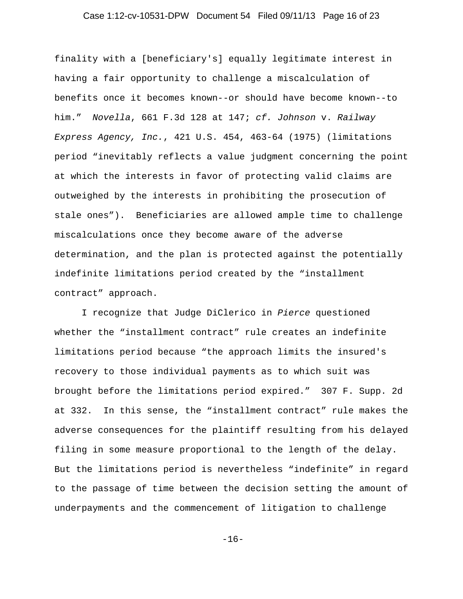## Case 1:12-cv-10531-DPW Document 54 Filed 09/11/13 Page 16 of 23

finality with a [beneficiary's] equally legitimate interest in having a fair opportunity to challenge a miscalculation of benefits once it becomes known--or should have become known--to him." *Novella*, 661 F.3d 128 at 147; *cf. Johnson* v. *Railway Express Agency, Inc.*, 421 U.S. 454, 463-64 (1975) (limitations period "inevitably reflects a value judgment concerning the point at which the interests in favor of protecting valid claims are outweighed by the interests in prohibiting the prosecution of stale ones"). Beneficiaries are allowed ample time to challenge miscalculations once they become aware of the adverse determination, and the plan is protected against the potentially indefinite limitations period created by the "installment contract" approach.

I recognize that Judge DiClerico in *Pierce* questioned whether the "installment contract" rule creates an indefinite limitations period because "the approach limits the insured's recovery to those individual payments as to which suit was brought before the limitations period expired." 307 F. Supp. 2d at 332. In this sense, the "installment contract" rule makes the adverse consequences for the plaintiff resulting from his delayed filing in some measure proportional to the length of the delay. But the limitations period is nevertheless "indefinite" in regard to the passage of time between the decision setting the amount of underpayments and the commencement of litigation to challenge

-16-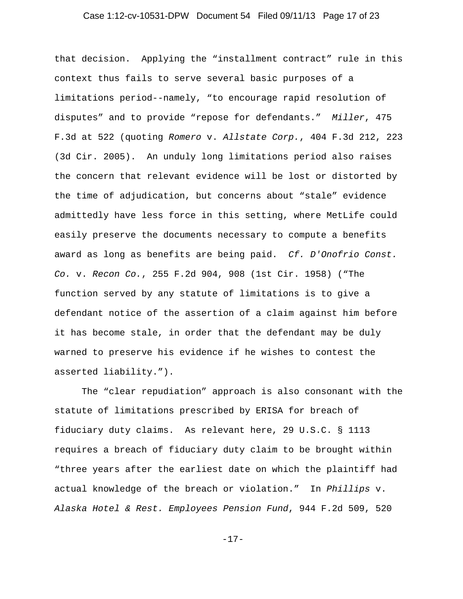## Case 1:12-cv-10531-DPW Document 54 Filed 09/11/13 Page 17 of 23

that decision. Applying the "installment contract" rule in this context thus fails to serve several basic purposes of a limitations period--namely, "to encourage rapid resolution of disputes" and to provide "repose for defendants." *Miller*, 475 F.3d at 522 (quoting *Romero* v. *Allstate Corp.*, 404 F.3d 212, 223 (3d Cir. 2005). An unduly long limitations period also raises the concern that relevant evidence will be lost or distorted by the time of adjudication, but concerns about "stale" evidence admittedly have less force in this setting, where MetLife could easily preserve the documents necessary to compute a benefits award as long as benefits are being paid. *Cf. D'Onofrio Const. Co.* v. *Recon Co.*, 255 F.2d 904, 908 (1st Cir. 1958) ("The function served by any statute of limitations is to give a defendant notice of the assertion of a claim against him before it has become stale, in order that the defendant may be duly warned to preserve his evidence if he wishes to contest the asserted liability.").

The "clear repudiation" approach is also consonant with the statute of limitations prescribed by ERISA for breach of fiduciary duty claims. As relevant here, 29 U.S.C. § 1113 requires a breach of fiduciary duty claim to be brought within "three years after the earliest date on which the plaintiff had actual knowledge of the breach or violation." In *Phillips* v. *Alaska Hotel & Rest. Employees Pension Fund*, 944 F.2d 509, 520

-17-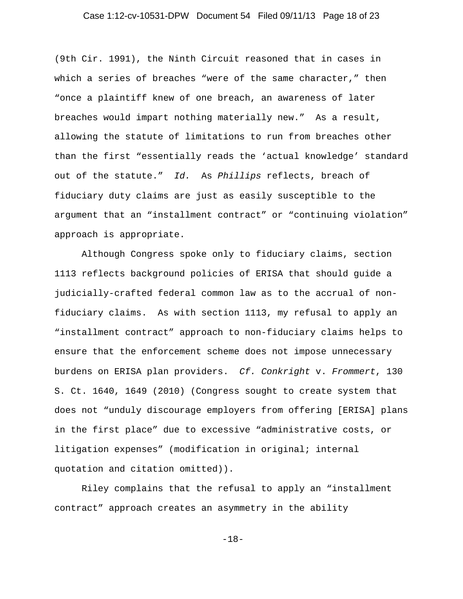## Case 1:12-cv-10531-DPW Document 54 Filed 09/11/13 Page 18 of 23

(9th Cir. 1991), the Ninth Circuit reasoned that in cases in which a series of breaches "were of the same character," then "once a plaintiff knew of one breach, an awareness of later breaches would impart nothing materially new." As a result, allowing the statute of limitations to run from breaches other than the first "essentially reads the 'actual knowledge' standard out of the statute." *Id.* As *Phillips* reflects, breach of fiduciary duty claims are just as easily susceptible to the argument that an "installment contract" or "continuing violation" approach is appropriate.

Although Congress spoke only to fiduciary claims, section 1113 reflects background policies of ERISA that should guide a judicially-crafted federal common law as to the accrual of nonfiduciary claims. As with section 1113, my refusal to apply an "installment contract" approach to non-fiduciary claims helps to ensure that the enforcement scheme does not impose unnecessary burdens on ERISA plan providers. *Cf. Conkright* v. *Frommert*, 130 S. Ct. 1640, 1649 (2010) (Congress sought to create system that does not "unduly discourage employers from offering [ERISA] plans in the first place" due to excessive "administrative costs, or litigation expenses" (modification in original; internal quotation and citation omitted)).

Riley complains that the refusal to apply an "installment contract" approach creates an asymmetry in the ability

-18-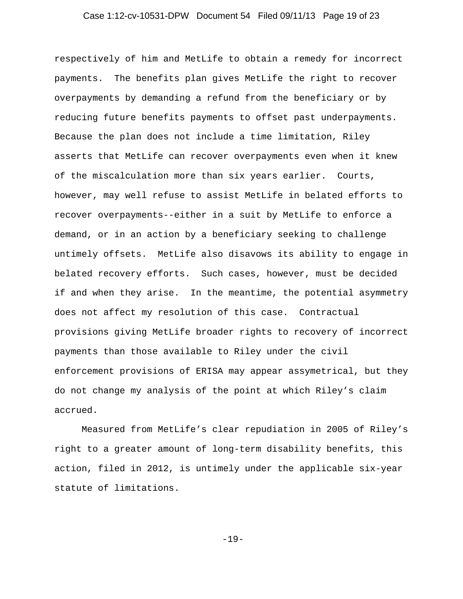## Case 1:12-cv-10531-DPW Document 54 Filed 09/11/13 Page 19 of 23

respectively of him and MetLife to obtain a remedy for incorrect payments. The benefits plan gives MetLife the right to recover overpayments by demanding a refund from the beneficiary or by reducing future benefits payments to offset past underpayments. Because the plan does not include a time limitation, Riley asserts that MetLife can recover overpayments even when it knew of the miscalculation more than six years earlier. Courts, however, may well refuse to assist MetLife in belated efforts to recover overpayments--either in a suit by MetLife to enforce a demand, or in an action by a beneficiary seeking to challenge untimely offsets. MetLife also disavows its ability to engage in belated recovery efforts. Such cases, however, must be decided if and when they arise. In the meantime, the potential asymmetry does not affect my resolution of this case. Contractual provisions giving MetLife broader rights to recovery of incorrect payments than those available to Riley under the civil enforcement provisions of ERISA may appear assymetrical, but they do not change my analysis of the point at which Riley's claim accrued.

Measured from MetLife's clear repudiation in 2005 of Riley's right to a greater amount of long-term disability benefits, this action, filed in 2012, is untimely under the applicable six-year statute of limitations.

-19-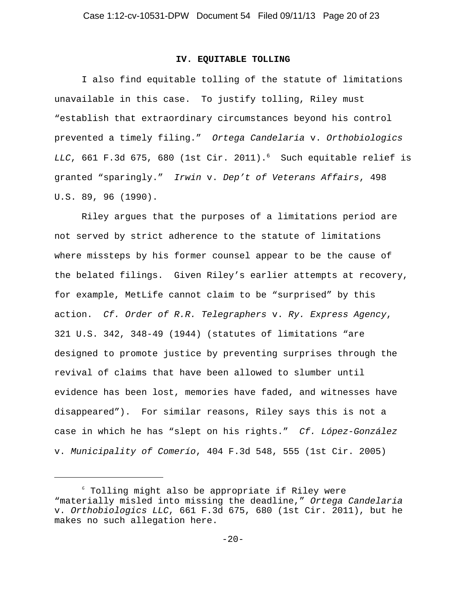#### **IV. EQUITABLE TOLLING**

I also find equitable tolling of the statute of limitations unavailable in this case. To justify tolling, Riley must "establish that extraordinary circumstances beyond his control prevented a timely filing." *Ortega Candelaria* v. *Orthobiologics LLC*, 661 F.3d 675, 680 (1st Cir. 2011).6 Such equitable relief is granted "sparingly." *Irwin* v. *Dep't of Veterans Affairs*, 498 U.S. 89, 96 (1990).

Riley argues that the purposes of a limitations period are not served by strict adherence to the statute of limitations where missteps by his former counsel appear to be the cause of the belated filings. Given Riley's earlier attempts at recovery, for example, MetLife cannot claim to be "surprised" by this action. *Cf. Order of R.R. Telegraphers* v. *Ry. Express Agency*, 321 U.S. 342, 348-49 (1944) (statutes of limitations "are designed to promote justice by preventing surprises through the revival of claims that have been allowed to slumber until evidence has been lost, memories have faded, and witnesses have disappeared"). For similar reasons, Riley says this is not a case in which he has "slept on his rights." *Cf. López-González* v. *Municipality of Comerío*, 404 F.3d 548, 555 (1st Cir. 2005)

<sup>6</sup> Tolling might also be appropriate if Riley were "materially misled into missing the deadline," *Ortega Candelaria* v. *Orthobiologics LLC*, 661 F.3d 675, 680 (1st Cir. 2011), but he makes no such allegation here.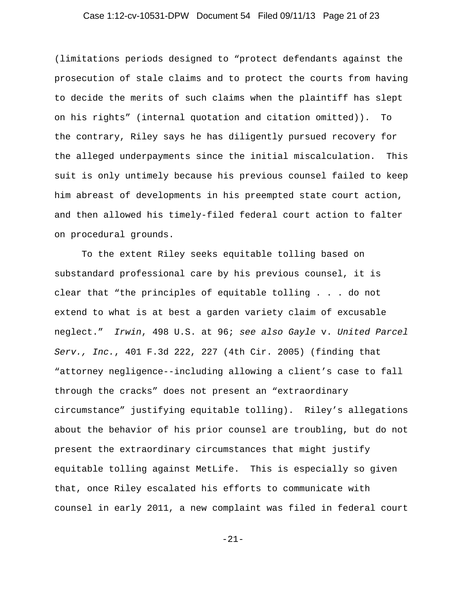## Case 1:12-cv-10531-DPW Document 54 Filed 09/11/13 Page 21 of 23

(limitations periods designed to "protect defendants against the prosecution of stale claims and to protect the courts from having to decide the merits of such claims when the plaintiff has slept on his rights" (internal quotation and citation omitted)). To the contrary, Riley says he has diligently pursued recovery for the alleged underpayments since the initial miscalculation. This suit is only untimely because his previous counsel failed to keep him abreast of developments in his preempted state court action, and then allowed his timely-filed federal court action to falter on procedural grounds.

To the extent Riley seeks equitable tolling based on substandard professional care by his previous counsel, it is clear that "the principles of equitable tolling . . . do not extend to what is at best a garden variety claim of excusable neglect." *Irwin*, 498 U.S. at 96; *see also Gayle* v. *United Parcel Serv., Inc.*, 401 F.3d 222, 227 (4th Cir. 2005) (finding that "attorney negligence--including allowing a client's case to fall through the cracks" does not present an "extraordinary circumstance" justifying equitable tolling). Riley's allegations about the behavior of his prior counsel are troubling, but do not present the extraordinary circumstances that might justify equitable tolling against MetLife. This is especially so given that, once Riley escalated his efforts to communicate with counsel in early 2011, a new complaint was filed in federal court

-21-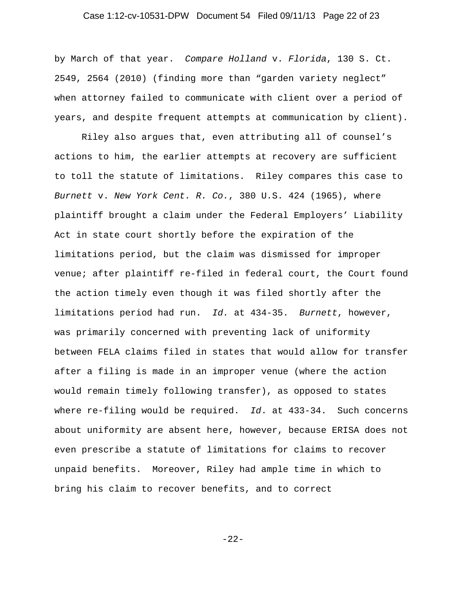## Case 1:12-cv-10531-DPW Document 54 Filed 09/11/13 Page 22 of 23

by March of that year. *Compare Holland* v. *Florida*, 130 S. Ct. 2549, 2564 (2010) (finding more than "garden variety neglect" when attorney failed to communicate with client over a period of years, and despite frequent attempts at communication by client).

Riley also argues that, even attributing all of counsel's actions to him, the earlier attempts at recovery are sufficient to toll the statute of limitations. Riley compares this case to *Burnett* v. *New York Cent. R. Co.*, 380 U.S. 424 (1965), where plaintiff brought a claim under the Federal Employers' Liability Act in state court shortly before the expiration of the limitations period, but the claim was dismissed for improper venue; after plaintiff re-filed in federal court, the Court found the action timely even though it was filed shortly after the limitations period had run. *Id.* at 434-35. *Burnett*, however, was primarily concerned with preventing lack of uniformity between FELA claims filed in states that would allow for transfer after a filing is made in an improper venue (where the action would remain timely following transfer), as opposed to states where re-filing would be required. *Id*. at 433-34. Such concerns about uniformity are absent here, however, because ERISA does not even prescribe a statute of limitations for claims to recover unpaid benefits. Moreover, Riley had ample time in which to bring his claim to recover benefits, and to correct

-22-